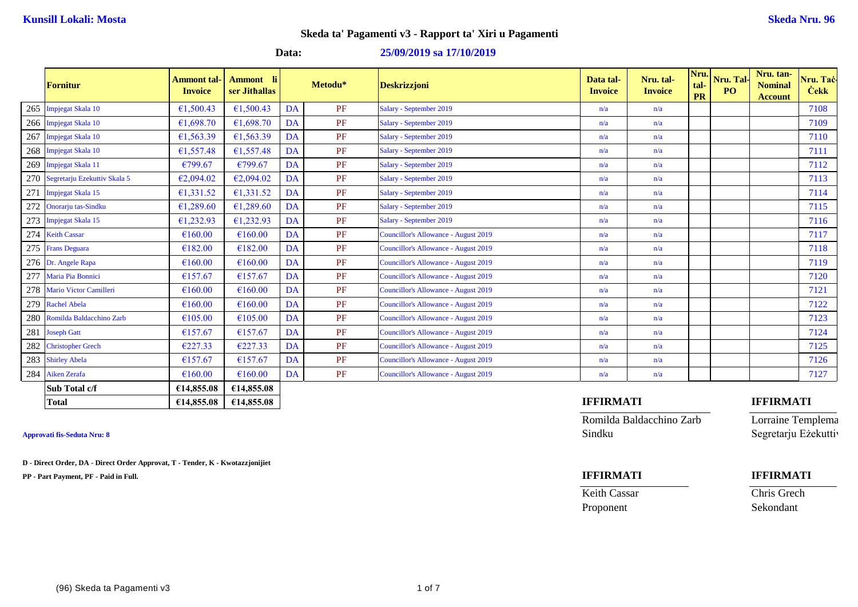### **Data: 25/09/2019 sa 17/10/2019**

|     | <b>Fornitur</b>               | <b>Ammont tal-</b><br><b>Invoice</b> | <b>Ammont</b> li<br>ser Jithallas |    | Metodu* | <b>Deskrizzjoni</b>                         | Data tal-<br><b>Invoice</b> | Nru. tal-<br><b>Invoice</b> | Nru.<br>tal-<br><b>PR</b> | Nru. Tal-<br>P <sub>O</sub> | Nru. tan-<br><b>Nominal</b><br><b>Account</b> | Nru. Taċ-<br><b>Čekk</b> |
|-----|-------------------------------|--------------------------------------|-----------------------------------|----|---------|---------------------------------------------|-----------------------------|-----------------------------|---------------------------|-----------------------------|-----------------------------------------------|--------------------------|
| 265 | Impjegat Skala 10             | €1,500.43                            | €1,500.43                         | DA | PF      | Salary - September 2019                     | n/a                         | n/a                         |                           |                             |                                               | 7108                     |
| 266 | Impjegat Skala 10             | €1,698.70                            | €1,698.70                         | DA | PF      | Salary - September 2019                     | n/a                         | n/a                         |                           |                             |                                               | 7109                     |
| 267 | Impjegat Skala 10             | €1,563.39                            | €1,563.39                         | DA | PF      | Salary - September 2019                     | n/a                         | n/a                         |                           |                             |                                               | 7110                     |
| 268 | Impjegat Skala 10             | €1,557.48                            | €1,557.48                         | DA | PF      | Salary - September 2019                     | n/a                         | n/a                         |                           |                             |                                               | 7111                     |
| 269 | Impjegat Skala 11             | €799.67                              | €799.67                           | DA | PF      | Salary - September 2019                     | n/a                         | n/a                         |                           |                             |                                               | 7112                     |
| 270 | Segretarju Ezekuttiv Skala 5  | €2,094.02                            | €2,094.02                         | DA | PF      | Salary - September 2019                     | n/a                         | n/a                         |                           |                             |                                               | 7113                     |
| 271 | Impjegat Skala 15             | €1,331.52                            | €1,331.52                         | DA | PF      | Salary - September 2019                     | n/a                         | n/a                         |                           |                             |                                               | 7114                     |
| 272 | Onorarju tas-Sindku           | €1,289.60                            | €1,289.60                         | DA | PF      | Salary - September 2019                     | n/a                         | n/a                         |                           |                             |                                               | 7115                     |
|     | 273 Impjegat Skala 15         | €1,232.93                            | €1,232.93                         | DA | PF      | Salary - September 2019                     | n/a                         | n/a                         |                           |                             |                                               | 7116                     |
|     | 274 Keith Cassar              | €160.00                              | €160.00                           | DA | PF      | Councillor's Allowance - August 2019        | n/a                         | n/a                         |                           |                             |                                               | 7117                     |
|     | 275 Frans Deguara             | €182.00                              | €182.00                           | DA | PF      | <b>Councillor's Allowance - August 2019</b> | n/a                         | n/a                         |                           |                             |                                               | 7118                     |
|     | 276 Dr. Angele Rapa           | €160.00                              | €160.00                           | DA | PF      | Councillor's Allowance - August 2019        | n/a                         | n/a                         |                           |                             |                                               | 7119                     |
| 277 | Maria Pia Bonnici             | €157.67                              | €157.67                           | DA | PF      | Councillor's Allowance - August 2019        | n/a                         | n/a                         |                           |                             |                                               | 7120                     |
| 278 | <b>Mario Victor Camilleri</b> | €160.00                              | €160.00                           | DA | PF      | Councillor's Allowance - August 2019        | n/a                         | n/a                         |                           |                             |                                               | 7121                     |
|     | 279 Rachel Abela              | €160.00                              | €160.00                           | DA | PF      | Councillor's Allowance - August 2019        | n/a                         | n/a                         |                           |                             |                                               | 7122                     |
|     | 280 Romilda Baldacchino Zarb  | €105.00                              | €105.00                           | DA | PF      | Councillor's Allowance - August 2019        | n/a                         | n/a                         |                           |                             |                                               | 7123                     |
| 281 | <b>Joseph Gatt</b>            | €157.67                              | €157.67                           | DA | PF      | Councillor's Allowance - August 2019        | n/a                         | n/a                         |                           |                             |                                               | 7124                     |
| 282 | <b>Christopher Grech</b>      | €227.33                              | €227.33                           | DA | PF      | Councillor's Allowance - August 2019        | n/a                         | n/a                         |                           |                             |                                               | 7125                     |
| 283 | <b>Shirley Abela</b>          | €157.67                              | €157.67                           | DA | PF      | Councillor's Allowance - August 2019        | n/a                         | n/a                         |                           |                             |                                               | 7126                     |
|     | 284 Aiken Zerafa              | €160.00                              | €160.00                           | DA | PF      | Councillor's Allowance - August 2019        | n/a                         | n/a                         |                           |                             |                                               | 7127                     |
|     | Sub Total c/f                 | €14,855.08                           | €14,855.08                        |    |         |                                             |                             |                             |                           |                             |                                               |                          |
|     | <b>Total</b>                  | €14,855.08                           | €14,855.08                        |    |         |                                             | <b>IFFIRMATI</b>            |                             |                           |                             | <b>IFFIRMATI</b>                              |                          |

**D - Direct Order, DA - Direct Order Approvat, T - Tender, K - Kwotazzjonijiet**

**PP - Part Payment, PF - Paid in Full. IFFIRMATI IFFIRMATI**

Romilda Baldacchino Zarb Lorraine Templema **Approvati fis-Seduta Nru: 8** Sindku Segretarju Eżekuttiv

Proponent Sekondant

Keith Cassar Chris Grech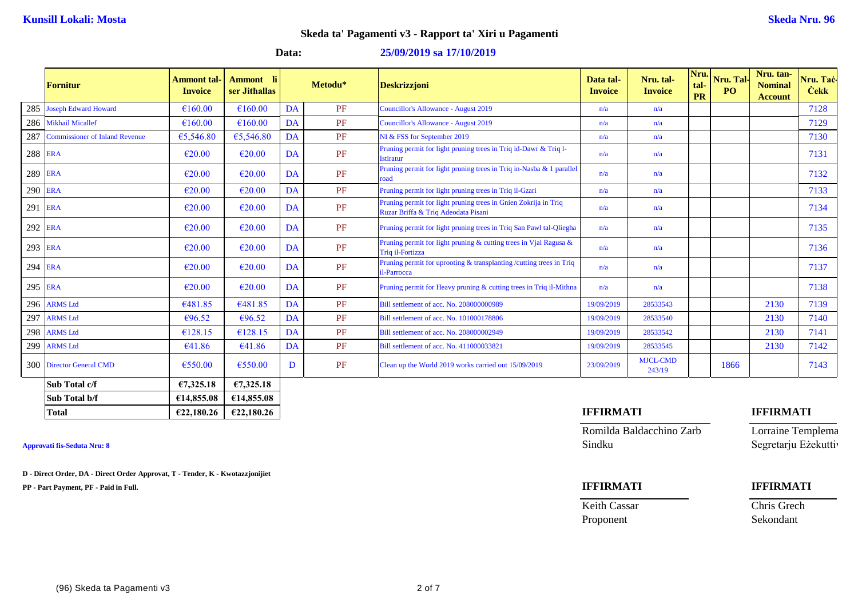### **Data: 25/09/2019 sa 17/10/2019**

|         | <b>Fornitur</b>                       | Ammont tal-<br><b>Invoice</b> | - li<br><b>Ammont</b><br>ser Jithallas |           | Metodu* | <b>Deskrizzjoni</b>                                                                                    | Data tal-<br><b>Invoice</b> | Nru. tal-<br><b>Invoice</b> | Nru.<br>tal-<br><b>PR</b> | Nru. Tal-<br>P <sub>O</sub> | Nru. tan-<br><b>Nominal</b><br><b>Account</b> | Nru. Taċ-<br><b>Čekk</b> |
|---------|---------------------------------------|-------------------------------|----------------------------------------|-----------|---------|--------------------------------------------------------------------------------------------------------|-----------------------------|-----------------------------|---------------------------|-----------------------------|-----------------------------------------------|--------------------------|
| 285     | <b>Joseph Edward Howard</b>           | €160.00                       | €160.00                                | <b>DA</b> | PF      | Councillor's Allowance - August 2019                                                                   | n/a                         | n/a                         |                           |                             |                                               | 7128                     |
|         | 286 Mikhail Micallef                  | €160.00                       | €160.00                                | DA        | PF      | Councillor's Allowance - August 2019                                                                   | n/a                         | n/a                         |                           |                             |                                               | 7129                     |
| 287     | <b>Commissioner of Inland Revenue</b> | €5,546.80                     | €5,546.80                              | DA        | PF      | NI & FSS for September 2019                                                                            | n/a                         | n/a                         |                           |                             |                                               | 7130                     |
| 288 ERA |                                       | $\epsilon$ 20.00              | $\epsilon$ 20.00                       | DA        | PF      | Pruning permit for light pruning trees in Triq id-Dawr & Triq l-<br><b>Istiratur</b>                   | n/a                         | n/a                         |                           |                             |                                               | 7131                     |
| 289 ERA |                                       | $\epsilon$ 20.00              | €20.00                                 | DA        | PF      | Pruning permit for light pruning trees in Triq in-Nasba & 1 parallel<br>road                           | n/a                         | n/a                         |                           |                             |                                               | 7132                     |
| 290 ERA |                                       | €20.00                        | €20.00                                 | DA        | PF      | Pruning permit for light pruning trees in Triq il-Gzari                                                | n/a                         | n/a                         |                           |                             |                                               | 7133                     |
| 291 ERA |                                       | €20.00                        | €20.00                                 | DA        | PF      | Pruning permit for light pruning trees in Gnien Zokrija in Triq<br>Ruzar Briffa & Triq Adeodata Pisani | n/a                         | n/a                         |                           |                             |                                               | 7134                     |
| 292 ERA |                                       | $\epsilon$ 20.00              | €20.00                                 | DA        | PF      | Pruning permit for light pruning trees in Triq San Pawl tal-Qliegha                                    | n/a                         | n/a                         |                           |                             |                                               | 7135                     |
| 293 ERA |                                       | $\epsilon$ 20.00              | €20.00                                 | DA        | PF      | Pruning permit for light pruning $\&$ cutting trees in Vial Ragusa $\&$<br>Triq il-Fortizza            | n/a                         | n/a                         |                           |                             |                                               | 7136                     |
| 294 ERA |                                       | $\epsilon$ 20.00              | €20.00                                 | DA        | PF      | Pruning permit for uprooting & transplanting / cutting trees in Triq<br>il-Parrocca                    | n/a                         | n/a                         |                           |                             |                                               | 7137                     |
| 295 ERA |                                       | $\epsilon$ 20.00              | €20.00                                 | DA        | PF      | Pruning permit for Heavy pruning & cutting trees in Triq il-Mithna                                     | n/a                         | n/a                         |                           |                             |                                               | 7138                     |
|         | 296 ARMS Ltd                          | €481.85                       | €481.85                                | DA        | PF      | Bill settlement of acc. No. 208000000989                                                               | 19/09/2019                  | 28533543                    |                           |                             | 2130                                          | 7139                     |
| 297     | <b>ARMS Ltd</b>                       | €96.52                        | €96.52                                 | DA        | PF      | Bill settlement of acc. No. 101000178806                                                               | 19/09/2019                  | 28533540                    |                           |                             | 2130                                          | 7140                     |
|         | 298 ARMS Ltd                          | €128.15                       | €128.15                                | DA        | PF      | Bill settlement of acc. No. 208000002949                                                               | 19/09/2019                  | 28533542                    |                           |                             | 2130                                          | 7141                     |
|         | 299 ARMS Ltd                          | €41.86                        | €41.86                                 | DA        | PF      | Bill settlement of acc. No. 411000033821                                                               | 19/09/2019                  | 28533545                    |                           |                             | 2130                                          | 7142                     |
|         | 300 Director General CMD              | €550.00                       | €550.00                                | D         | PF      | Clean up the World 2019 works carried out 15/09/2019                                                   | 23/09/2019                  | <b>MJCL-CMD</b><br>243/19   |                           | 1866                        |                                               | 7143                     |
|         | Sub Total c/f                         | €7,325.18                     | €7,325.18                              |           |         |                                                                                                        |                             |                             |                           |                             |                                               |                          |
|         | Sub Total b/f                         | £14,855.08                    | €14,855.08                             |           |         |                                                                                                        |                             |                             |                           |                             |                                               |                          |

**D - Direct Order, DA - Direct Order Approvat, T - Tender, K - Kwotazzjonijiet**

**PP - Part Payment, PF - Paid in Full. IFFIRMATI IFFIRMATI**

## **Total €22,180.26 €22,180.26 IFFIRMATI IFFIRMATI**

Romilda Baldacchino Zarb Lorraine Templema **Approvati fis-Seduta Nru: 8** Sindku Segretarju Eżekuttiv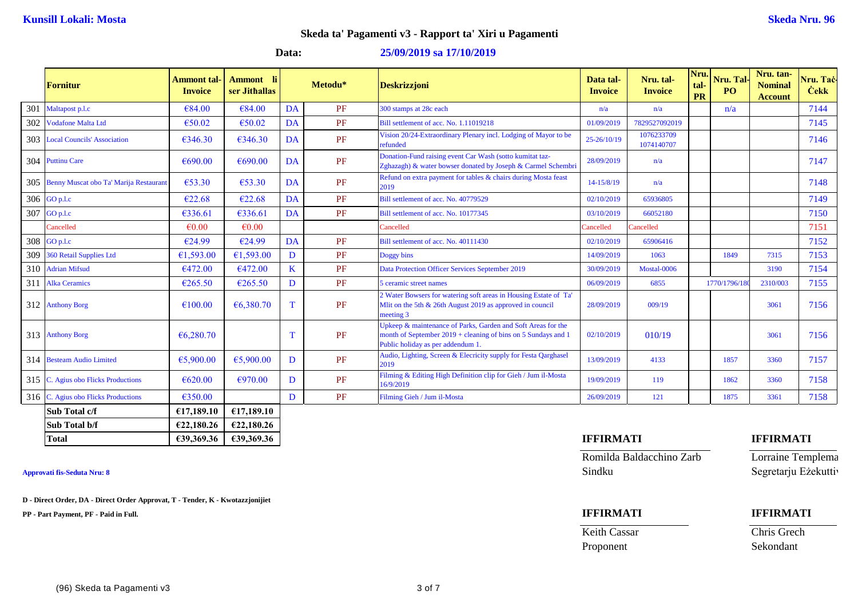### **Data: 25/09/2019 sa 17/10/2019**

|     | Fornitur                                   | Ammont tal·<br><b>Invoice</b> | - Hi<br><b>Ammont</b><br>ser Jithallas |    | Metodu* | <b>Deskrizzjoni</b>                                                                                                                                                | Data tal-<br><b>Invoice</b> | Nru. tal-<br><b>Invoice</b> | Nru.<br>tal-<br><b>PR</b> | Nru. Tal-<br>PO | Nru. tan-<br><b>Nominal</b><br><b>Account</b> | Nru. Taċ-<br><b>Cekk</b> |
|-----|--------------------------------------------|-------------------------------|----------------------------------------|----|---------|--------------------------------------------------------------------------------------------------------------------------------------------------------------------|-----------------------------|-----------------------------|---------------------------|-----------------|-----------------------------------------------|--------------------------|
| 301 | Maltapost p.l.c                            | €84.00                        | €84.00                                 | DA | PF      | 300 stamps at 28c each                                                                                                                                             | n/a                         | n/a                         |                           | n/a             |                                               | 7144                     |
|     | 302 Vodafone Malta Ltd                     | €50.02                        | €50.02                                 | DA | PF      | Bill settlement of acc. No. 1.11019218                                                                                                                             | 01/09/2019                  | 7829527092019               |                           |                 |                                               | 7145                     |
|     | 303 Local Councils' Association            | €346.30                       | €346.30                                | DA | PF      | Vision 20/24-Extraordinary Plenary incl. Lodging of Mayor to be<br>refunded                                                                                        | 25-26/10/19                 | 1076233709<br>1074140707    |                           |                 |                                               | 7146                     |
|     | 304 Puttinu Care                           | €690.00                       | €690.00                                | DA | PF      | Donation-Fund raising event Car Wash (sotto kumitat taz-<br>Zghazagh) & water bowser donated by Joseph & Carmel Schembri                                           | 28/09/2019                  | n/a                         |                           |                 |                                               | 7147                     |
|     | 305 Benny Muscat obo Ta' Marija Restaurant | €53.30                        | €53.30                                 | DA | PF      | Refund on extra payment for tables & chairs during Mosta feast<br>2019                                                                                             | 14-15/8/19                  | n/a                         |                           |                 |                                               | 7148                     |
|     | 306 GO p.l.c                               | €22.68                        | €22.68                                 | DA | PF      | Bill settlement of acc. No. 40779529                                                                                                                               | 02/10/2019                  | 65936805                    |                           |                 |                                               | 7149                     |
| 307 | GO p.l.c                                   | €336.61                       | €336.61                                | DA | PF      | Bill settlement of acc. No. 10177345                                                                                                                               | 03/10/2019                  | 66052180                    |                           |                 |                                               | 7150                     |
|     | Cancelled                                  | €0.00                         | $\epsilon$ 0.00                        |    |         | Cancelled                                                                                                                                                          | Cancelled                   | Cancelled                   |                           |                 |                                               | 7151                     |
|     | 308 GO p.l.c                               | €24.99                        | €24.99                                 | DA | PF      | Bill settlement of acc. No. 40111430                                                                                                                               | 02/10/2019                  | 65906416                    |                           |                 |                                               | 7152                     |
|     | 309 360 Retail Supplies Ltd                | €1,593.00                     | €1,593.00                              | D  | PF      | Doggy bins                                                                                                                                                         | 14/09/2019                  | 1063                        |                           | 1849            | 7315                                          | 7153                     |
|     | 310 Adrian Mifsud                          | €472.00                       | €472.00                                | K  | PF      | Data Protection Officer Services September 2019                                                                                                                    | 30/09/2019                  | Mostal-0006                 |                           |                 | 3190                                          | 7154                     |
|     | 311 Alka Ceramics                          | €265.50                       | €265.50                                | D  | PF      | 5 ceramic street names                                                                                                                                             | 06/09/2019                  | 6855                        |                           | 1770/1796/18    | 2310/003                                      | 7155                     |
|     | 312 Anthony Borg                           | €100.00                       | €6,380.70                              | T  | PF      | 2 Water Bowsers for watering soft areas in Housing Estate of Ta'<br>Mlit on the 5th & 26th August 2019 as approved in council<br>meeting 3                         | 28/09/2019                  | 009/19                      |                           |                 | 3061                                          | 7156                     |
|     | 313 Anthony Borg                           | € $6,280.70$                  |                                        | Т  | PF      | Upkeep & maintenance of Parks, Garden and Soft Areas for the<br>month of September 2019 + cleaning of bins on 5 Sundays and 1<br>Public holiday as per addendum 1. | 02/10/2019                  | 010/19                      |                           |                 | 3061                                          | 7156                     |
|     | 314 Besteam Audio Limited                  | €5,900.00                     | €5,900.00                              | D  | PF      | Audio, Lighting, Screen & Elecricity supply for Festa Qarghasel<br>2019                                                                                            | 13/09/2019                  | 4133                        |                           | 1857            | 3360                                          | 7157                     |
|     | 315 C. Agius obo Flicks Productions        | € $620.00$                    | €970.00                                | D  | PF      | Filming & Editing High Definition clip for Gieh / Jum il-Mosta<br>16/9/2019                                                                                        | 19/09/2019                  | 119                         |                           | 1862            | 3360                                          | 7158                     |
|     | 316 C. Agius obo Flicks Productions        | €350.00                       |                                        | D  | PF      | Filming Gieh / Jum il-Mosta                                                                                                                                        | 26/09/2019                  | 121                         |                           | 1875            | 3361                                          | 7158                     |
|     | Sub Total c/f                              | £17,189.10                    | £17,189.10                             |    |         |                                                                                                                                                                    |                             |                             |                           |                 |                                               |                          |
|     | Sub Total b/f                              | €22,180.26                    | €22,180.26                             |    |         |                                                                                                                                                                    |                             |                             |                           |                 |                                               |                          |

**D - Direct Order, DA - Direct Order Approvat, T - Tender, K - Kwotazzjonijiet**

**PP - Part Payment, PF - Paid in Full. IFFIRMATI IFFIRMATI**

**Total €39,369.36 €39,369.36 IFFIRMATI IFFIRMATI**

Romilda Baldacchino Zarb Lorraine Templema **Approvati fis-Seduta Nru: 8** Segretarju Eżekuttiv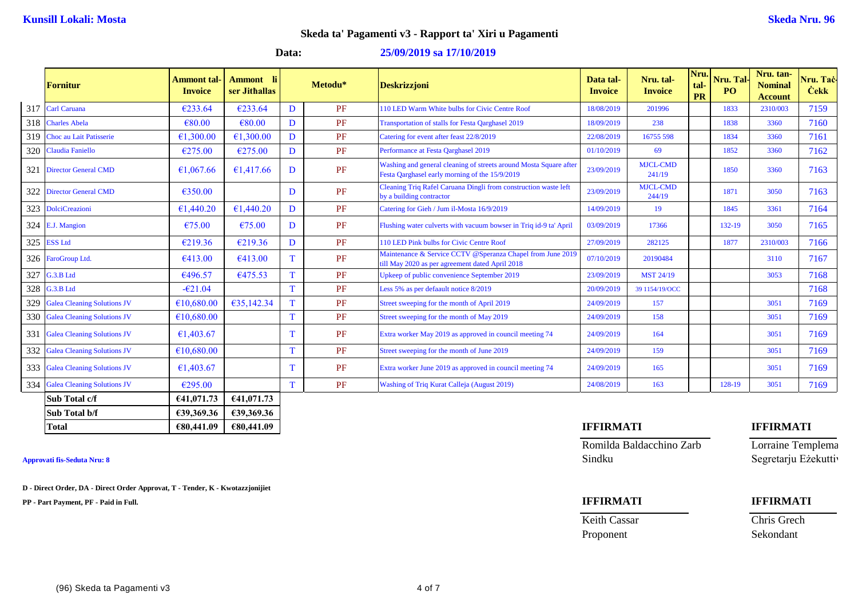### **Data: 25/09/2019 sa 17/10/2019**

|     | <b>Fornitur</b>                    | <b>Ammont tal-</b><br><b>Invoice</b> | <b>Ammont</b> li<br>ser Jithallas |   | Metodu* | <b>Deskrizzjoni</b>                                                                                                 | Data tal-<br><b>Invoice</b> | Nru. tal-<br><b>Invoice</b> | Nru.<br>tal-<br><b>PR</b> | Nru. Tal-<br>P <sub>O</sub> | Nru. tan-<br><b>Nominal</b><br><b>Account</b> | Nru. Taċ<br><b>Cekk</b> |
|-----|------------------------------------|--------------------------------------|-----------------------------------|---|---------|---------------------------------------------------------------------------------------------------------------------|-----------------------------|-----------------------------|---------------------------|-----------------------------|-----------------------------------------------|-------------------------|
| 317 | <b>Carl Caruana</b>                | €233.64                              | €233.64                           | D | PF      | 110 LED Warm White bulbs for Civic Centre Roof                                                                      | 18/08/2019                  | 201996                      |                           | 1833                        | 2310/003                                      | 7159                    |
| 318 | <b>Charles Abela</b>               | €80.00                               | €80.00                            | D | PF      | <b>Transportation of stalls for Festa Oarghasel 2019</b>                                                            | 18/09/2019                  | 238                         |                           | 1838                        | 3360                                          | 7160                    |
| 319 | Choc au Lait Patisserie            | €1,300.00                            | €1,300.00                         | D | PF      | Catering for event after feast 22/8/2019                                                                            | 22/08/2019                  | 16755 598                   |                           | 1834                        | 3360                                          | 7161                    |
| 320 | <b>Claudia Faniello</b>            | €275.00                              | €275.00                           | D | PF      | Performance at Festa Oarghasel 2019                                                                                 | 01/10/2019                  | 69                          |                           | 1852                        | 3360                                          | 7162                    |
| 321 | <b>Director General CMD</b>        | €1,067.66                            | €1,417.66                         | D | PF      | Washing and general cleaning of streets around Mosta Square after<br>Festa Qarghasel early morning of the 15/9/2019 | 23/09/2019                  | <b>MJCL-CMD</b><br>241/19   |                           | 1850                        | 3360                                          | 7163                    |
| 322 | <b>Director General CMD</b>        | €350.00                              |                                   | D | PF      | Cleaning Triq Rafel Caruana Dingli from construction waste left<br>by a building contractor                         | 23/09/2019                  | <b>MJCL-CMD</b><br>244/19   |                           | 1871                        | 3050                                          | 7163                    |
|     | 323 DolciCreazioni                 | €1,440.20                            | €1,440.20                         | D | PF      | Catering for Gieh / Jum il-Mosta 16/9/2019                                                                          | 14/09/2019                  | 19                          |                           | 1845                        | 3361                                          | 7164                    |
|     | 324 E.J. Mangion                   | €75.00                               | €75.00                            | D | PF      | Flushing water culverts with vacuum bowser in Triq id-9 ta' April                                                   | 03/09/2019                  | 17366                       |                           | 132-19                      | 3050                                          | 7165                    |
| 325 | <b>ESS Ltd</b>                     | €219.36                              | €219.36                           | D | PF      | 110 LED Pink bulbs for Civic Centre Roof                                                                            | 27/09/2019                  | 282125                      |                           | 1877                        | 2310/003                                      | 7166                    |
|     | 326 FaroGroup Ltd.                 | €413.00                              | €413.00                           | T | PF      | Maintenance & Service CCTV @Speranza Chapel from June 2019<br>ill May 2020 as per agreement dated April 2018        | 07/10/2019                  | 20190484                    |                           |                             | 3110                                          | 7167                    |
| 327 | G.3.B Ltd                          | €496.57                              | €475.53                           | T | PF      | Upkeep of public convenience September 2019                                                                         | 23/09/2019                  | <b>MST 24/19</b>            |                           |                             | 3053                                          | 7168                    |
| 328 | G.3.B Ltd                          | $-621.04$                            |                                   | T | PF      | Less 5% as per defaault notice 8/2019                                                                               | 20/09/2019                  | 39 1154/19/OCC              |                           |                             |                                               | 7168                    |
| 329 | <b>Galea Cleaning Solutions JV</b> | €10,680.00                           | €35,142.34                        | T | PF      | Street sweeping for the month of April 2019                                                                         | 24/09/2019                  | 157                         |                           |                             | 3051                                          | 7169                    |
| 330 | <b>Galea Cleaning Solutions JV</b> | €10,680.00                           |                                   | T | PF      | Street sweeping for the month of May 2019                                                                           | 24/09/2019                  | 158                         |                           |                             | 3051                                          | 7169                    |
| 331 | <b>Galea Cleaning Solutions JV</b> | €1,403.67                            |                                   | Т | PF      | Extra worker May 2019 as approved in council meeting 74                                                             | 24/09/2019                  | 164                         |                           |                             | 3051                                          | 7169                    |
| 332 | <b>Galea Cleaning Solutions JV</b> | €10,680.00                           |                                   | T | PF      | Street sweeping for the month of June 2019                                                                          | 24/09/2019                  | 159                         |                           |                             | 3051                                          | 7169                    |
|     | 333 Galea Cleaning Solutions JV    | €1,403.67                            |                                   |   | PF      | Extra worker June 2019 as approved in council meeting 74                                                            | 24/09/2019                  | 165                         |                           |                             | 3051                                          | 7169                    |
| 334 | <b>Galea Cleaning Solutions JV</b> | €295.00                              |                                   | T | PF      | Washing of Triq Kurat Calleja (August 2019)                                                                         | 24/08/2019                  | 163                         |                           | 128-19                      | 3051                                          | 7169                    |
|     | Sub Total c/f                      | €41,071.73                           | 641,071.73                        |   |         |                                                                                                                     |                             |                             |                           |                             |                                               |                         |
|     | Sub Total b/f                      | £39,369.36                           | €39,369.36                        |   |         |                                                                                                                     |                             |                             |                           |                             |                                               |                         |

**D - Direct Order, DA - Direct Order Approvat, T - Tender, K - Kwotazzjonijiet**

**PP - Part Payment, PF - Paid in Full. IFFIRMATI IFFIRMATI**

## **Total €80,441.09 €80,441.09 IFFIRMATI IFFIRMATI**

Romilda Baldacchino Zarb Lorraine Templema Approvati fis-Seduta Nru: 8 Segretarju Eżekuttiv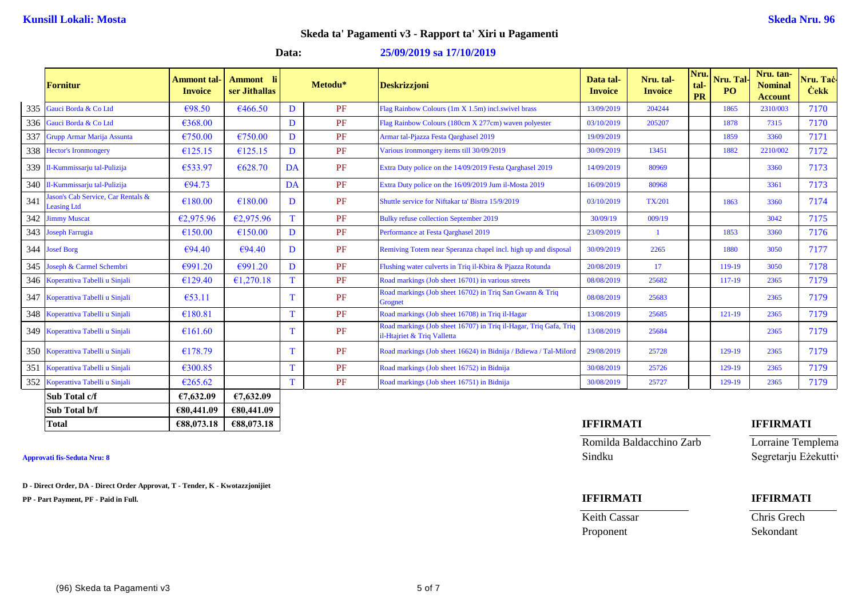# **Data: 25/09/2019 sa 17/10/2019**

|     | <b>Fornitur</b>                                         | Ammont tal<br><b>Invoice</b> | - li<br><b>Ammont</b><br>ser Jithallas |              | Metodu* | <b>Deskrizzjoni</b>                                                                              | Data tal-<br><b>Invoice</b> | Nru. tal-<br><b>Invoice</b> | Nru.<br>tal<br><b>PR</b> | Nru. Tal-<br>P <sub>O</sub> | Nru. tan-<br><b>Nominal</b><br><b>Account</b> | Nru. Taċ<br><b>Cekk</b> |
|-----|---------------------------------------------------------|------------------------------|----------------------------------------|--------------|---------|--------------------------------------------------------------------------------------------------|-----------------------------|-----------------------------|--------------------------|-----------------------------|-----------------------------------------------|-------------------------|
| 335 | Gauci Borda & Co Ltd                                    | €98.50                       | €466.50                                | D            | PF      | Flag Rainbow Colours (1m X 1.5m) incl.swivel brass                                               | 13/09/2019                  | 204244                      |                          | 1865                        | 2310/003                                      | 7170                    |
|     | 336 Gauci Borda & Co Ltd                                | €368.00                      |                                        | D            | PF      | Flag Rainbow Colours (180cm X 277cm) waven polyester                                             | 03/10/2019                  | 205207                      |                          | 1878                        | 7315                                          | 7170                    |
| 337 | Grupp Armar Marija Assunta                              | €750.00                      | €750.00                                | D            | PF      | Armar tal-Pjazza Festa Qarghasel 2019                                                            | 19/09/2019                  |                             |                          | 1859                        | 3360                                          | 7171                    |
| 338 | <b>Hector's Ironmongery</b>                             | €125.15                      | €125.15                                | D            | PF      | Various ironmongery items till 30/09/2019                                                        | 30/09/2019                  | 13451                       |                          | 1882                        | 2210/002                                      | 7172                    |
|     | 339 Il-Kummissarju tal-Pulizija                         | €533.97                      | €628.70                                | DA           | PF      | Extra Duty police on the 14/09/2019 Festa Qarghasel 2019                                         | 14/09/2019                  | 80969                       |                          |                             | 3360                                          | 7173                    |
|     | 340 Il-Kummissarju tal-Pulizija                         | €94.73                       |                                        | DA           | PF      | Extra Duty police on the 16/09/2019 Jum il-Mosta 2019                                            | 16/09/2019                  | 80968                       |                          |                             | 3361                                          | 7173                    |
| 341 | ason's Cab Service, Car Rentals &<br><b>Leasing Ltd</b> | €180.00                      | €180.00                                | D            | PF      | Shuttle service for Niftakar ta' Bistra 15/9/2019                                                | 03/10/2019                  | <b>TX/201</b>               |                          | 1863                        | 3360                                          | 7174                    |
|     | 342 Jimmy Muscat                                        | €2,975.96                    | €2,975.96                              | T            | PF      | <b>Bulky refuse collection September 2019</b>                                                    | 30/09/19                    | 009/19                      |                          |                             | 3042                                          | 7175                    |
|     | 343 Joseph Farrugia                                     | €150.00                      | €150.00                                | D            | PF      | Performance at Festa Qarghasel 2019                                                              | 23/09/2019                  | $\mathbf{1}$                |                          | 1853                        | 3360                                          | 7176                    |
|     | 344 Josef Borg                                          | €94.40                       | €94.40                                 | D            | PF      | Remiving Totem near Speranza chapel incl. high up and disposal                                   | 30/09/2019                  | 2265                        |                          | 1880                        | 3050                                          | 7177                    |
| 345 | Joseph & Carmel Schembri                                | €991.20                      | €991.20                                | D            | PF      | Flushing water culverts in Triq il-Kbira & Pjazza Rotunda                                        | 20/08/2019                  | 17                          |                          | 119-19                      | 3050                                          | 7178                    |
|     | 346 Koperattiva Tabelli u Sinjali                       | €129.40                      | €1,270.18                              | <sup>T</sup> | PF      | Road markings (Job sheet 16701) in various streets                                               | 08/08/2019                  | 25682                       |                          | 117-19                      | 2365                                          | 7179                    |
| 347 | Koperattiva Tabelli u Sinjali                           | €53.11                       |                                        | T.           | PF      | Road markings (Job sheet 16702) in Triq San Gwann & Triq<br>Grognet                              | 08/08/2019                  | 25683                       |                          |                             | 2365                                          | 7179                    |
|     | 348 Koperattiva Tabelli u Sinjali                       | €180.81                      |                                        |              | PF      | Road markings (Job sheet 16708) in Triq il-Hagar                                                 | 13/08/2019                  | 25685                       |                          | $121 - 19$                  | 2365                                          | 7179                    |
|     | 349 Koperattiva Tabelli u Sinjali                       | €161.60                      |                                        |              | PF      | Road markings (Job sheet 16707) in Triq il-Hagar, Triq Gafa, Triq<br>il-Htajriet & Triq Valletta | 13/08/2019                  | 25684                       |                          |                             | 2365                                          | 7179                    |
|     | 350 Koperattiva Tabelli u Sinjali                       | €178.79                      |                                        |              | PF      | Road markings (Job sheet 16624) in Bidnija / Bdiewa / Tal-Milord                                 | 29/08/2019                  | 25728                       |                          | 129-19                      | 2365                                          | 7179                    |
| 351 | Koperattiva Tabelli u Sinjali                           | €300.85                      |                                        | T            | PF      | Road markings (Job sheet 16752) in Bidnija                                                       | 30/08/2019                  | 25726                       |                          | 129-19                      | 2365                                          | 7179                    |
| 352 | Koperattiva Tabelli u Sinjali                           | €265.62                      |                                        | T            | PF      | Road markings (Job sheet 16751) in Bidnija                                                       | 30/08/2019                  | 25727                       |                          | 129-19                      | 2365                                          | 7179                    |
|     | Sub Total c/f                                           | €7,632.09                    | £7,632.09                              |              |         |                                                                                                  |                             |                             |                          |                             |                                               |                         |
|     | Sub Total b/f                                           | €80,441.09                   | €80,441.09                             |              |         |                                                                                                  |                             |                             |                          |                             |                                               |                         |

**D - Direct Order, DA - Direct Order Approvat, T - Tender, K - Kwotazzjonijiet**

**PP - Part Payment, PF - Paid in Full. IFFIRMATI IFFIRMATI**

### **Total €88,073.18 €88,073.18 IFFIRMATI IFFIRMATI**

Romilda Baldacchino Zarb Lorraine Templema **Approvati fis-Seduta Nru: 8** Sindku Segretarju Eżekuttiv

Keith Cassar Chris Grech

Proponent Sekondant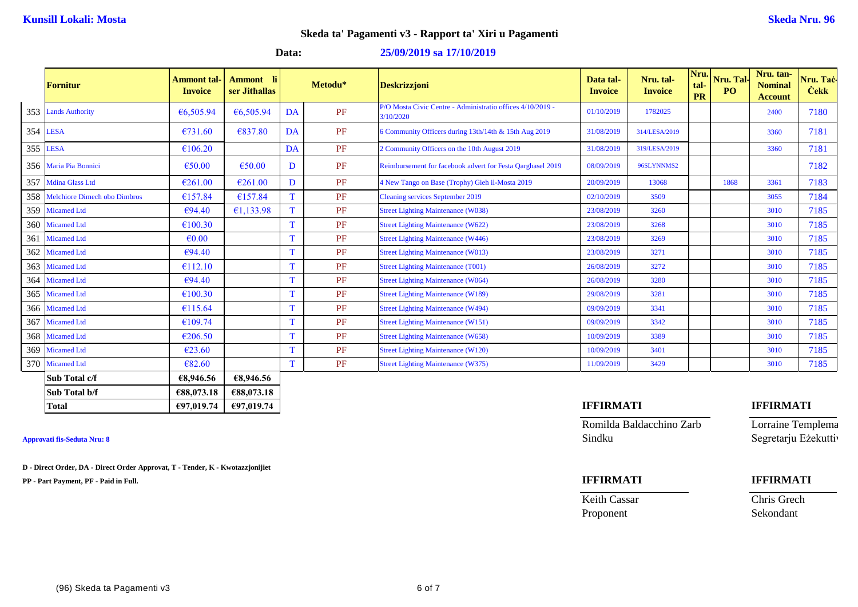### **Data: 25/09/2019 sa 17/10/2019**

|     | Fornitur                         | <b>Ammont</b> tal<br><b>Invoice</b> | <b>Ammont</b> li<br>ser Jithallas |              | Metodu* | <b>Deskrizzjoni</b>                                                     | Data tal-<br><b>Invoice</b> | Nru. tal-<br><b>Invoice</b> | Nru.<br>tal-<br>PR | Nru. Tal-<br>P <sub>O</sub> | Nru. tan-<br><b>Nominal</b><br><b>Account</b> | Nru. Taċ-<br><b>Cekk</b> |
|-----|----------------------------------|-------------------------------------|-----------------------------------|--------------|---------|-------------------------------------------------------------------------|-----------------------------|-----------------------------|--------------------|-----------------------------|-----------------------------------------------|--------------------------|
|     | 353 Lands Authority              | € $6,505.94$                        | €6,505.94                         | DA           | PF      | P/O Mosta Civic Centre - Administratio offices 4/10/2019 -<br>3/10/2020 | 01/10/2019                  | 1782025                     |                    |                             | 2400                                          | 7180                     |
|     | 354 LESA                         | €731.60                             | €837.80                           | DA           | PF      | 6 Community Officers during 13th/14th & 15th Aug 2019                   | 31/08/2019                  | 314/LESA/2019               |                    |                             | 3360                                          | 7181                     |
|     | 355 LESA                         | €106.20                             |                                   | DA           | PF      | 2 Community Officers on the 10th August 2019                            | 31/08/2019                  | 319/LESA/2019               |                    |                             | 3360                                          | 7181                     |
|     | 356 Maria Pia Bonnici            | €50.00                              | €50.00                            | D            | PF      | Reimbursement for facebook advert for Festa Qarghasel 2019              | 08/09/2019                  | 96SLYNNMS2                  |                    |                             |                                               | 7182                     |
|     | 357 Mdina Glass Ltd              | €261.00                             | €261.00                           | D            | PF      | 4 New Tango on Base (Trophy) Gieh il-Mosta 2019                         | 20/09/2019                  | 13068                       |                    | 1868                        | 3361                                          | 7183                     |
|     | 358 Melchiore Dimech obo Dimbros | €157.84                             | €157.84                           | T            | PF      | <b>Cleaning services September 2019</b>                                 | 02/10/2019                  | 3509                        |                    |                             | 3055                                          | 7184                     |
|     | 359 Micamed Ltd                  | €94.40                              | €1,133.98                         |              | PF      | <b>Street Lighting Maintenance (W038)</b>                               | 23/08/2019                  | 3260                        |                    |                             | 3010                                          | 7185                     |
|     | 360 Micamed Ltd                  | €100.30                             |                                   | $\mathbf T$  | PF      | <b>Street Lighting Maintenance (W622)</b>                               | 23/08/2019                  | 3268                        |                    |                             | 3010                                          | 7185                     |
| 361 | <b>Micamed Ltd</b>               | $\epsilon$ <sub>0.00</sub>          |                                   | $\mathbf{T}$ | PF      | <b>Street Lighting Maintenance (W446)</b>                               | 23/08/2019                  | 3269                        |                    |                             | 3010                                          | 7185                     |
|     | 362 Micamed Ltd                  | €94.40                              |                                   |              | PF      | <b>Street Lighting Maintenance (W013)</b>                               | 23/08/2019                  | 3271                        |                    |                             | 3010                                          | 7185                     |
|     | 363 Micamed Ltd                  | €112.10                             |                                   |              | PF      | <b>Street Lighting Maintenance (T001)</b>                               | 26/08/2019                  | 3272                        |                    |                             | 3010                                          | 7185                     |
|     | 364 Micamed Ltd                  | €94.40                              |                                   | T            | PF      | <b>Street Lighting Maintenance (W064)</b>                               | 26/08/2019                  | 3280                        |                    |                             | 3010                                          | 7185                     |
|     | 365 Micamed Ltd                  | €100.30                             |                                   | T            | PF      | <b>Street Lighting Maintenance (W189)</b>                               | 29/08/2019                  | 3281                        |                    |                             | 3010                                          | 7185                     |
|     | 366 Micamed Ltd                  | €115.64                             |                                   |              | PF      | <b>Street Lighting Maintenance (W494)</b>                               | 09/09/2019                  | 3341                        |                    |                             | 3010                                          | 7185                     |
|     | 367 Micamed Ltd                  | €109.74                             |                                   |              | PF      | <b>Street Lighting Maintenance (W151)</b>                               | 09/09/2019                  | 3342                        |                    |                             | 3010                                          | 7185                     |
|     | 368 Micamed Ltd                  | €206.50                             |                                   | $\mathbf{T}$ | PF      | <b>Street Lighting Maintenance (W658)</b>                               | 10/09/2019                  | 3389                        |                    |                             | 3010                                          | 7185                     |
|     | 369 Micamed Ltd                  | €23.60                              |                                   | $\mathbf T$  | PF      | <b>Street Lighting Maintenance (W120)</b>                               | 10/09/2019                  | 3401                        |                    |                             | 3010                                          | 7185                     |
|     | 370 Micamed Ltd                  | € $82.60$                           |                                   |              | PF      | <b>Street Lighting Maintenance (W375)</b>                               | 11/09/2019                  | 3429                        |                    |                             | 3010                                          | 7185                     |
|     | Sub Total c/f                    | €8,946.56                           | €8,946.56                         |              |         |                                                                         |                             |                             |                    |                             |                                               |                          |
|     | Sub Total b/f                    | €88,073.18                          | €88,073.18                        |              |         |                                                                         |                             |                             |                    |                             |                                               |                          |

**D - Direct Order, DA - Direct Order Approvat, T - Tender, K - Kwotazzjonijiet**

**PP - Part Payment, PF - Paid in Full. IFFIRMATI IFFIRMATI**

# **Total €97,019.74 €97,019.74 IFFIRMATI IFFIRMATI**

**Approvati fis-Seduta Nru: 8** Sindku Segretarju Eżekuttiv

Romilda Baldacchino Zarb Lorraine Templema